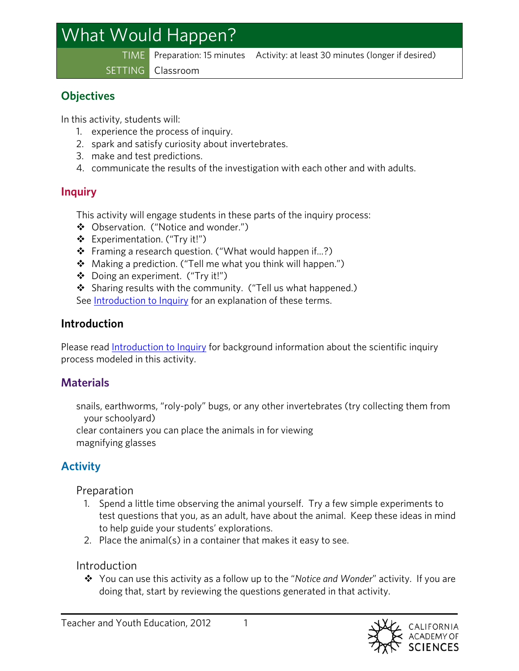# What Would Happen?

TIME Preparation: 15 minutes Activity: at least 30 minutes (longer if desired)

SETTING Classroom

#### **Objectives**

In this activity, students will:

- 1. experience the process of inquiry.
- 2. spark and satisfy curiosity about invertebrates.
- 3. make and test predictions.
- 4. communicate the results of the investigation with each other and with adults.

# **Inquiry**

This activity will engage students in these parts of the inquiry process:

- Observation. ("Notice and wonder.")
- Experimentation. ("Try it!")
- ❖ Framing a research question. ("What would happen if...?)
- Making a prediction. ("Tell me what you think will happen.")
- Doing an experiment. ("Try it!")
- Sharing results with the community. ("Tell us what happened.)
- See [Introduction to Inquiry](http://www.calacademy.org/teachers/upload/docs/InquiryForPreschool.pdf) for an explanation of these terms.

## **Introduction**

Please read [Introduction to Inquiry](http://www.calacademy.org/teachers/upload/docs/InquiryForPreschool.pdf) for background information about the scientific inquiry process modeled in this activity.

# **Materials**

snails, earthworms, "roly-poly" bugs, or any other invertebrates (try collecting them from your schoolyard)

clear containers you can place the animals in for viewing magnifying glasses

# **Activity**

## Preparation

- 1. Spend a little time observing the animal yourself. Try a few simple experiments to test questions that you, as an adult, have about the animal. Keep these ideas in mind to help guide your students' explorations.
- 2. Place the animal(s) in a container that makes it easy to see.

## **Introduction**

 You can use this activity as a follow up to the "*Notice and Wonder*" activity. If you are doing that, start by reviewing the questions generated in that activity.

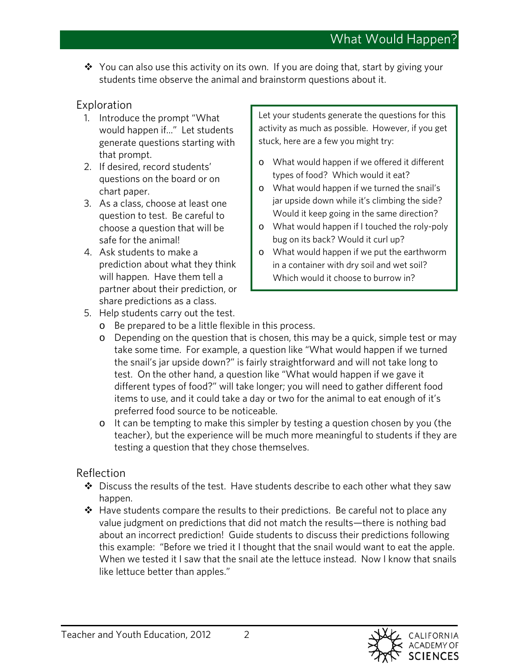$\div$  You can also use this activity on its own. If you are doing that, start by giving your students time observe the animal and brainstorm questions about it.

#### Exploration

- 1. Introduce the prompt "What would happen if..." Let students generate questions starting with that prompt.
- 2. If desired, record students' questions on the board or on chart paper.
- 3. As a class, choose at least one question to test. Be careful to choose a question that will be safe for the animal!
- 4. Ask students to make a prediction about what they think will happen. Have them tell a partner about their prediction, or share predictions as a class.

Let your students generate the questions for this activity as much as possible. However, if you get stuck, here are a few you might try:

- o What would happen if we offered it different types of food? Which would it eat?
- o What would happen if we turned the snail's jar upside down while it's climbing the side? Would it keep going in the same direction?
- o What would happen if I touched the roly-poly bug on its back? Would it curl up?
- o What would happen if we put the earthworm in a container with dry soil and wet soil? Which would it choose to burrow in?
- 5. Help students carry out the test.
	- o Be prepared to be a little flexible in this process.
	- o Depending on the question that is chosen, this may be a quick, simple test or may take some time. For example, a question like "What would happen if we turned the snail's jar upside down?" is fairly straightforward and will not take long to test. On the other hand, a question like "What would happen if we gave it different types of food?" will take longer; you will need to gather different food items to use, and it could take a day or two for the animal to eat enough of it's preferred food source to be noticeable.
	- o It can be tempting to make this simpler by testing a question chosen by you (the teacher), but the experience will be much more meaningful to students if they are testing a question that they chose themselves.

#### Reflection

- $\clubsuit$  Discuss the results of the test. Have students describe to each other what they saw happen.
- $\div$  Have students compare the results to their predictions. Be careful not to place any value judgment on predictions that did not match the results—there is nothing bad about an incorrect prediction! Guide students to discuss their predictions following this example: "Before we tried it I thought that the snail would want to eat the apple. When we tested it I saw that the snail ate the lettuce instead. Now I know that snails like lettuce better than apples."